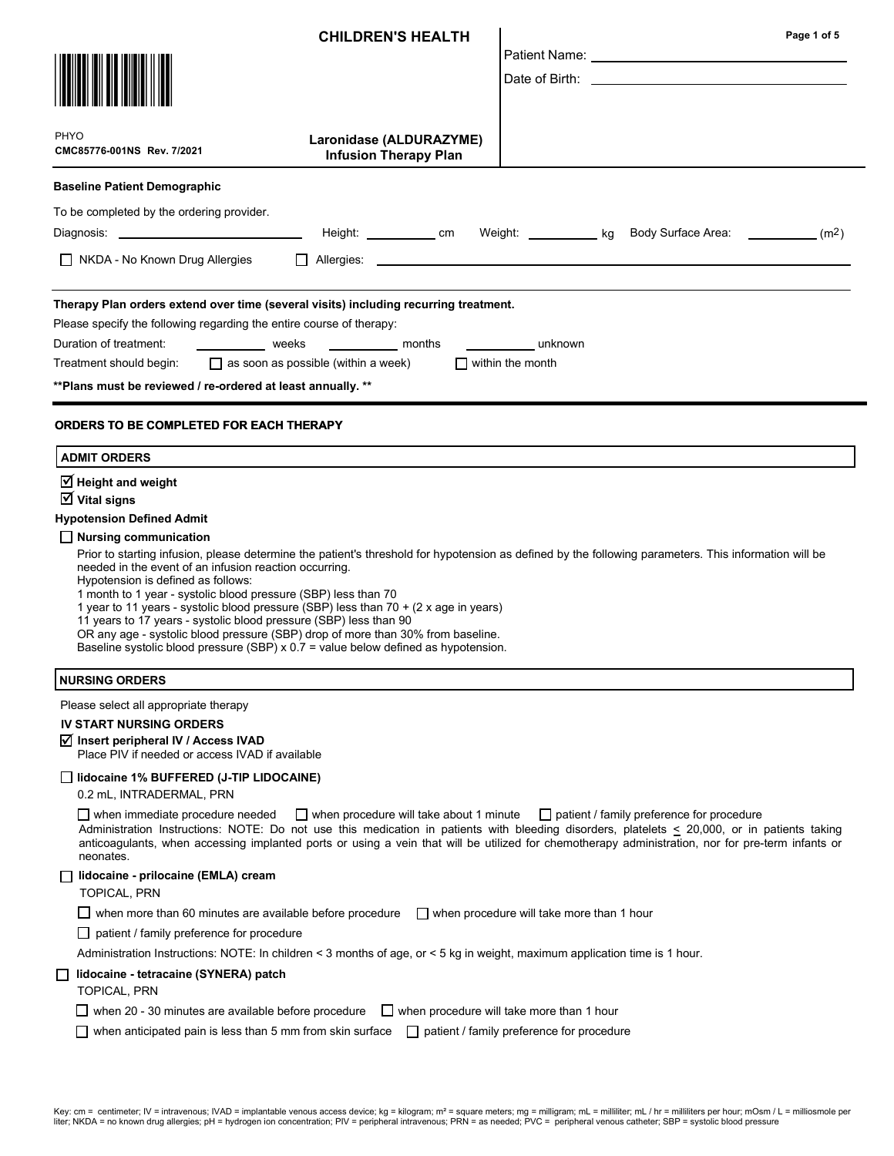|                                                                                                                                                                                                                                                                                                                                                                                                                                                                                                                                                                                                                                                                                                                                                                          | <b>CHILDREN'S HEALTH</b>                                              |                                                  | Page 1 of 5<br>Patient Name: The Contract of the Contract of the Contract of the Contract of the Contract of the Contract of the Contract of the Contract of the Contract of the Contract of the Contract of the Contract of the Contract of<br>Date of Birth: the contract of the contract of the contract of the contract of the contract of the contract of the contract of the contract of the contract of the contract of the contract of the contract of the contract of |
|--------------------------------------------------------------------------------------------------------------------------------------------------------------------------------------------------------------------------------------------------------------------------------------------------------------------------------------------------------------------------------------------------------------------------------------------------------------------------------------------------------------------------------------------------------------------------------------------------------------------------------------------------------------------------------------------------------------------------------------------------------------------------|-----------------------------------------------------------------------|--------------------------------------------------|--------------------------------------------------------------------------------------------------------------------------------------------------------------------------------------------------------------------------------------------------------------------------------------------------------------------------------------------------------------------------------------------------------------------------------------------------------------------------------|
| <b>PHYO</b><br>CMC85776-001NS Rev. 7/2021                                                                                                                                                                                                                                                                                                                                                                                                                                                                                                                                                                                                                                                                                                                                | Laronidase (ALDURAZYME)<br><b>Infusion Therapy Plan</b>               |                                                  |                                                                                                                                                                                                                                                                                                                                                                                                                                                                                |
| <b>Baseline Patient Demographic</b>                                                                                                                                                                                                                                                                                                                                                                                                                                                                                                                                                                                                                                                                                                                                      |                                                                       |                                                  |                                                                                                                                                                                                                                                                                                                                                                                                                                                                                |
| To be completed by the ordering provider.<br>$\Box$ NKDA - No Known Drug Allergies                                                                                                                                                                                                                                                                                                                                                                                                                                                                                                                                                                                                                                                                                       | Height: _____________ cm                                              |                                                  | Weight: <u>_____________</u> kg Body Surface Area: _____________(m <sup>2</sup> )                                                                                                                                                                                                                                                                                                                                                                                              |
| Therapy Plan orders extend over time (several visits) including recurring treatment.<br>Please specify the following regarding the entire course of therapy:<br>Duration of treatment:<br><b>Example 2018</b> Weeks<br>Treatment should begin:<br>** Plans must be reviewed / re-ordered at least annually. **                                                                                                                                                                                                                                                                                                                                                                                                                                                           | <b>Example 1</b> months<br>$\Box$ as soon as possible (within a week) | unknown<br>$\Box$ within the month               |                                                                                                                                                                                                                                                                                                                                                                                                                                                                                |
| <b>ORDERS TO BE COMPLETED FOR EACH THERAPY</b><br><b>ADMIT ORDERS</b>                                                                                                                                                                                                                                                                                                                                                                                                                                                                                                                                                                                                                                                                                                    |                                                                       |                                                  |                                                                                                                                                                                                                                                                                                                                                                                                                                                                                |
| $\overline{\mathsf{M}}$ Vital signs<br><b>Hypotension Defined Admit</b><br>$\Box$ Nursing communication<br>Prior to starting infusion, please determine the patient's threshold for hypotension as defined by the following parameters. This information will be<br>needed in the event of an infusion reaction occurring.<br>Hypotension is defined as follows:<br>1 month to 1 year - systolic blood pressure (SBP) less than 70<br>1 year to 11 years - systolic blood pressure (SBP) less than 70 + (2 x age in years)<br>11 years to 17 years - systolic blood pressure (SBP) less than 90<br>OR any age - systolic blood pressure (SBP) drop of more than 30% from baseline.<br>Baseline systolic blood pressure (SBP) x 0.7 = value below defined as hypotension. |                                                                       |                                                  |                                                                                                                                                                                                                                                                                                                                                                                                                                                                                |
| <b>NURSING ORDERS</b>                                                                                                                                                                                                                                                                                                                                                                                                                                                                                                                                                                                                                                                                                                                                                    |                                                                       |                                                  |                                                                                                                                                                                                                                                                                                                                                                                                                                                                                |
| Please select all appropriate therapy<br><b>IV START NURSING ORDERS</b><br>Ø Insert peripheral IV / Access IVAD<br>Place PIV if needed or access IVAD if available<br>  lidocaine 1% BUFFERED (J-TIP LIDOCAINE)<br>0.2 mL, INTRADERMAL, PRN                                                                                                                                                                                                                                                                                                                                                                                                                                                                                                                              |                                                                       |                                                  |                                                                                                                                                                                                                                                                                                                                                                                                                                                                                |
| $\Box$ when immediate procedure needed<br>Administration Instructions: NOTE: Do not use this medication in patients with bleeding disorders, platelets < 20,000, or in patients taking<br>anticoagulants, when accessing implanted ports or using a vein that will be utilized for chemotherapy administration, nor for pre-term infants or<br>neonates.                                                                                                                                                                                                                                                                                                                                                                                                                 | $\Box$ when procedure will take about 1 minute                        |                                                  | $\Box$ patient / family preference for procedure                                                                                                                                                                                                                                                                                                                                                                                                                               |
| lidocaine - prilocaine (EMLA) cream<br>TOPICAL, PRN<br>$\Box$ when more than 60 minutes are available before procedure<br>patient / family preference for procedure                                                                                                                                                                                                                                                                                                                                                                                                                                                                                                                                                                                                      |                                                                       | $\Box$ when procedure will take more than 1 hour |                                                                                                                                                                                                                                                                                                                                                                                                                                                                                |
| Administration Instructions: NOTE: In children < 3 months of age, or < 5 kg in weight, maximum application time is 1 hour.<br>lidocaine - tetracaine (SYNERA) patch<br><b>TOPICAL, PRN</b>                                                                                                                                                                                                                                                                                                                                                                                                                                                                                                                                                                               |                                                                       |                                                  |                                                                                                                                                                                                                                                                                                                                                                                                                                                                                |
| $\Box$ when 20 - 30 minutes are available before procedure<br>when anticipated pain is less than 5 mm from skin surface                                                                                                                                                                                                                                                                                                                                                                                                                                                                                                                                                                                                                                                  | $\Box$ when procedure will take more than 1 hour                      | patient / family preference for procedure        |                                                                                                                                                                                                                                                                                                                                                                                                                                                                                |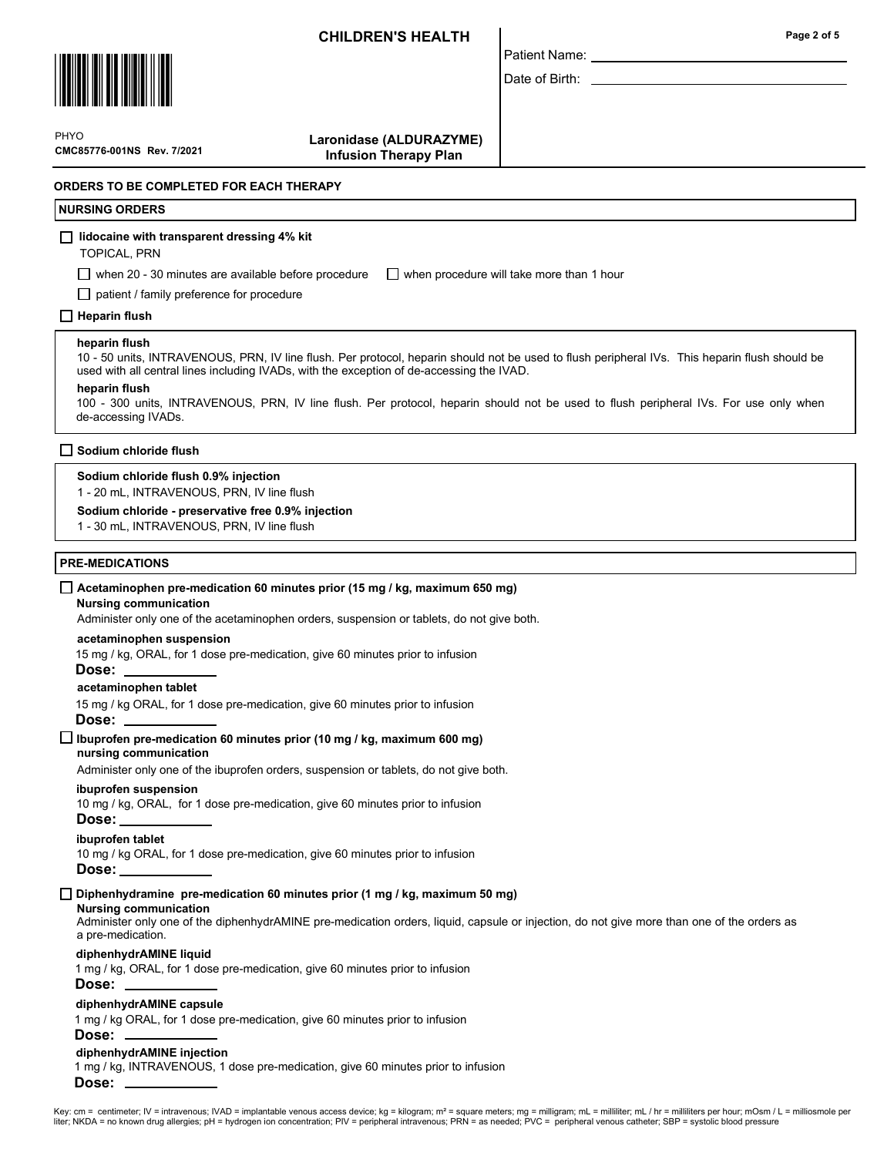Patient Name: Date of Birth:



CMC85776-001NS Rev. 7/2021 **PHYO** 

 Laronidase (ALDURAZYME) Infusion Therapy Plan

## ORDERS TO BE COMPLETED FOR EACH THERAPY

## NURSING ORDERS

#### $\Box$  lidocaine with transparent dressing 4% kit

TOPICAL, PRN

when 20 - 30 minutes are available before procedure  $\Box$  when procedure will take more than 1 hour

patient / family preference for procedure

### $\Box$  Heparin flush

#### heparin flush

10 - 50 units, INTRAVENOUS, PRN, IV line flush. Per protocol, heparin should not be used to flush peripheral IVs. This heparin flush should be used with all central lines including IVADs, with the exception of de-accessing the IVAD.

#### heparin flush

100 - 300 units, INTRAVENOUS, PRN, IV line flush. Per protocol, heparin should not be used to flush peripheral IVs. For use only when de-accessing IVADs.

#### $\square$  Sodium chloride flush

#### Sodium chloride flush 0.9% injection

1 - 20 mL, INTRAVENOUS, PRN, IV line flush

#### Sodium chloride - preservative free 0.9% injection

1 - 30 mL, INTRAVENOUS, PRN, IV line flush

#### PRE-MEDICATIONS

#### $\Box$  Acetaminophen pre-medication 60 minutes prior (15 mg / kg, maximum 650 mg)

#### Nursing communication

Administer only one of the acetaminophen orders, suspension or tablets, do not give both.

#### acetaminophen suspension

15 mg / kg, ORAL, for 1 dose pre-medication, give 60 minutes prior to infusion

#### Dose:

acetaminophen tablet

15 mg / kg ORAL, for 1 dose pre-medication, give 60 minutes prior to infusion Dose:

nursing communication  $\Box$  Ibuprofen pre-medication 60 minutes prior (10 mg / kg, maximum 600 mg)

Administer only one of the ibuprofen orders, suspension or tablets, do not give both.

#### ibuprofen suspension

10 mg / kg, ORAL, for 1 dose pre-medication, give 60 minutes prior to infusion

# Dose:

ibuprofen tablet

10 mg / kg ORAL, for 1 dose pre-medication, give 60 minutes prior to infusion

#### Dose:

 $\Box$  Diphenhydramine pre-medication 60 minutes prior (1 mg / kg, maximum 50 mg)

### Nursing communication

Administer only one of the diphenhydrAMINE pre-medication orders, liquid, capsule or injection, do not give more than one of the orders as a pre-medication.

#### diphenhydrAMINE liquid

1 mg / kg, ORAL, for 1 dose pre-medication, give 60 minutes prior to infusion

### Dose:

#### diphenhydrAMINE capsule

1 mg / kg ORAL, for 1 dose pre-medication, give 60 minutes prior to infusion

### Dose:

#### diphenhydrAMINE injection

1 mg / kg, INTRAVENOUS, 1 dose pre-medication, give 60 minutes prior to infusion Dose:

### Page 2 of 5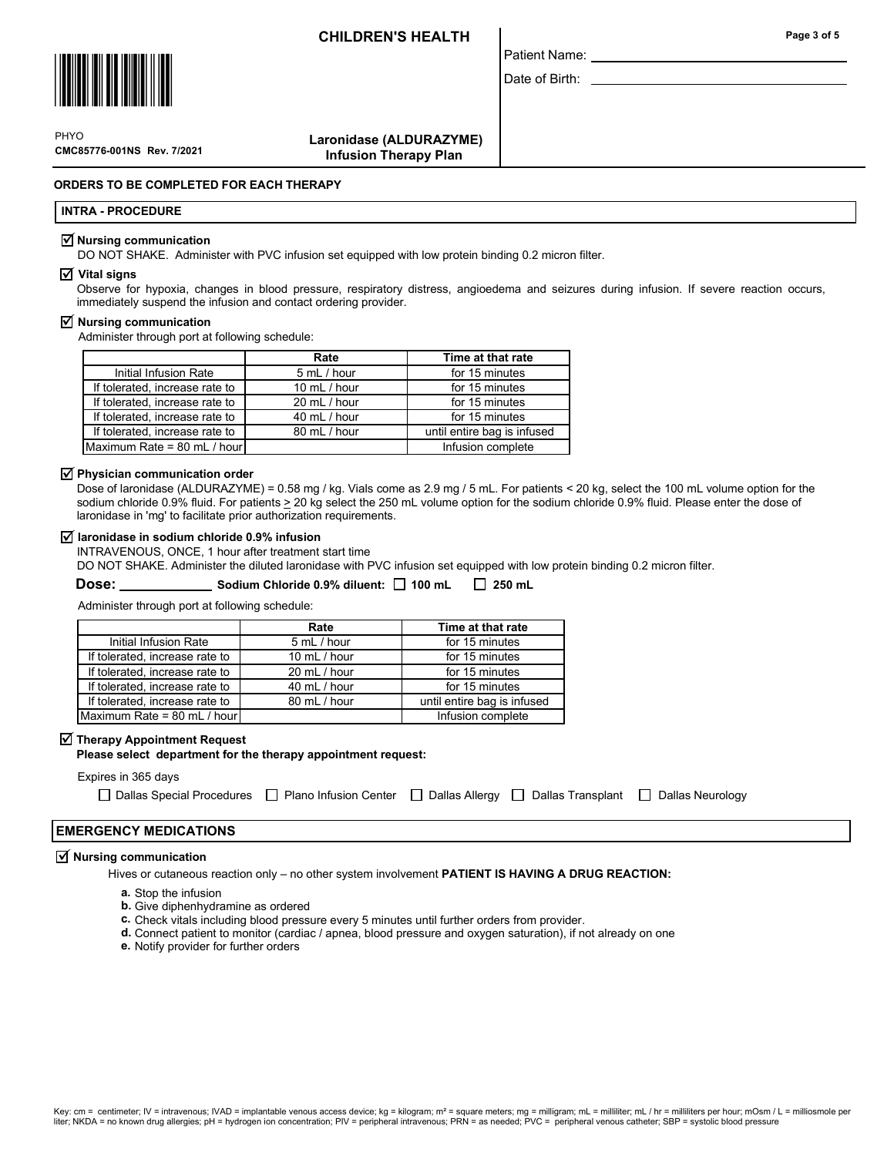

CMC85776-001NS Rev. 7/2021 PHYO

 Laronidase (ALDURAZYME) Infusion Therapy Plan

## ORDERS TO BE COMPLETED FOR EACH THERAPY

### INTRA - PROCEDURE

#### $\vee$  Nursing communication

DO NOT SHAKE. Administer with PVC infusion set equipped with low protein binding 0.2 micron filter.

#### $\overline{v}$  Vital signs

Observe for hypoxia, changes in blood pressure, respiratory distress, angioedema and seizures during infusion. If severe reaction occurs, immediately suspend the infusion and contact ordering provider.

Patient Name: Date of Birth:

#### $\triangledown$  Nursing communication

Administer through port at following schedule:

|                                | Rate         | Time at that rate           |  |
|--------------------------------|--------------|-----------------------------|--|
| Initial Infusion Rate          | 5 mL / hour  | for 15 minutes              |  |
| If tolerated, increase rate to | 10 mL / hour | for 15 minutes              |  |
| If tolerated, increase rate to | 20 mL / hour | for 15 minutes              |  |
| If tolerated, increase rate to | 40 mL / hour | for 15 minutes              |  |
| If tolerated, increase rate to | 80 mL / hour | until entire bag is infused |  |
| Maximum Rate = 80 mL / hour    |              | Infusion complete           |  |

### $\overline{\mathsf{M}}$  Physician communication order

Dose of laronidase (ALDURAZYME) = 0.58 mg / kg. Vials come as 2.9 mg / 5 mL. For patients < 20 kg, select the 100 mL volume option for the sodium chloride 0.9% fluid. For patients > 20 kg select the 250 mL volume option for the sodium chloride 0.9% fluid. Please enter the dose of laronidase in 'mg' to facilitate prior authorization requirements.

#### $\overline{v}$  laronidase in sodium chloride 0.9% infusion

INTRAVENOUS, ONCE, 1 hour after treatment start time

DO NOT SHAKE. Administer the diluted laronidase with PVC infusion set equipped with low protein binding 0.2 micron filter.

Dose: Sodium Chloride 0.9% diluent: 100 mL 250 mL

Administer through port at following schedule:

|                                | Rate           | Time at that rate           |  |
|--------------------------------|----------------|-----------------------------|--|
| Initial Infusion Rate          | 5 mL / hour    | for 15 minutes              |  |
| If tolerated, increase rate to | 10 $mL / hour$ | for 15 minutes              |  |
| If tolerated, increase rate to | 20 mL / hour   | for 15 minutes              |  |
| If tolerated, increase rate to | 40 mL / hour   | for 15 minutes              |  |
| If tolerated, increase rate to | 80 mL / hour   | until entire bag is infused |  |
| Maximum Rate = 80 mL / hour    |                | Infusion complete           |  |

# $\overline{\blacktriangleleft}$  Therapy Appointment Request

Please select department for the therapy appointment request:

# Expires in 365 days

| □ Dallas Special Procedures □ Plano Infusion Center □ Dallas Allergy □ Dallas Transplant □ Dallas Neurology |  |  |  |
|-------------------------------------------------------------------------------------------------------------|--|--|--|
|-------------------------------------------------------------------------------------------------------------|--|--|--|

## EMERGENCY MEDICATIONS

#### $\overline{M}$  Nursing communication

Hives or cutaneous reaction only – no other system involvement PATIENT IS HAVING A DRUG REACTION:

- a. Stop the infusion
- **b.** Give diphenhydramine as ordered
- c. Check vitals including blood pressure every 5 minutes until further orders from provider.
- d. Connect patient to monitor (cardiac / apnea, blood pressure and oxygen saturation), if not already on one
- e. Notify provider for further orders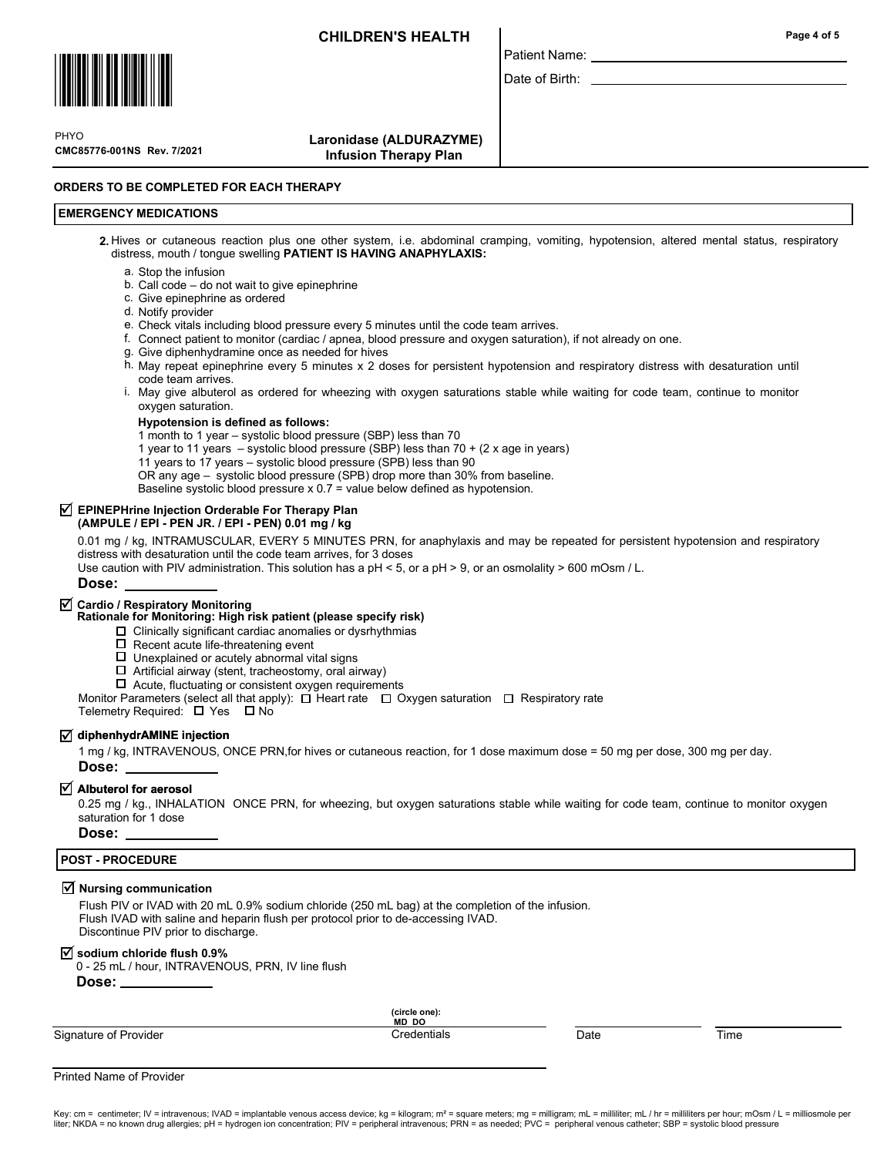

CMC85776-001NS Rev. 7/2021 **PHYO** 

 Laronidase (ALDURAZYME) Infusion Therapy Plan

### ORDERS TO BE COMPLETED FOR EACH THERAPY

# EMERGENCY MEDICATIONS

2. Hives or cutaneous reaction plus one other system, i.e. abdominal cramping, vomiting, hypotension, altered mental status, respiratory distress, mouth / tongue swelling PATIENT IS HAVING ANAPHYLAXIS:

Patient Name: Date of Birth:

- a. Stop the infusion
- b. Call code do not wait to give epinephrine
- c. Give epinephrine as ordered
- d. Notify provider
- e. Check vitals including blood pressure every 5 minutes until the code team arrives.
- f. Connect patient to monitor (cardiac / apnea, blood pressure and oxygen saturation), if not already on one.
	- g. Give diphenhydramine once as needed for hives
	- h. May repeat epinephrine every 5 minutes x 2 doses for persistent hypotension and respiratory distress with desaturation until code team arrives.
- May give albuterol as ordered for wheezing with oxygen saturations stable while waiting for code team, continue to monitor i. oxygen saturation.

### Hypotension is defined as follows:

- 1 month to 1 year systolic blood pressure (SBP) less than 70
- 1 year to 11 years systolic blood pressure (SBP) less than 70 + (2 x age in years)
- 11 years to 17 years systolic blood pressure (SPB) less than 90
- OR any age systolic blood pressure (SPB) drop more than 30% from baseline.
- Baseline systolic blood pressure x 0.7 = value below defined as hypotension.

# $\overline{\mathsf{M}}$  EPINEPHrine Injection Orderable For Therapy Plan

(AMPULE / EPI - PEN JR. / EPI - PEN) 0.01 mg / kg

0.01 mg / kg, INTRAMUSCULAR, EVERY 5 MINUTES PRN, for anaphylaxis and may be repeated for persistent hypotension and respiratory distress with desaturation until the code team arrives, for 3 doses

Use caution with PIV administration. This solution has a pH < 5, or a pH > 9, or an osmolality > 600 mOsm / L.

#### Dose:

# $\overline{\mathsf{y}}$  Cardio / Respiratory Monitoring

- Rationale for Monitoring: High risk patient (please specify risk)
	- $\Box$  Clinically significant cardiac anomalies or dysrhythmias
	- $\square$  Recent acute life-threatening event
	- $\Box$  Unexplained or acutely abnormal vital signs
	- $\Box$  Artificial airway (stent, tracheostomy, oral airway)
	- $\Box$  Acute, fluctuating or consistent oxygen requirements
- Monitor Parameters (select all that apply):  $\Box$  Heart rate  $\Box$  Oxygen saturation  $\Box$  Respiratory rate

Telemetry Required:  $\Box$  Yes  $\Box$  No

# $\overline{\mathcal{A}}$  diphenhydrAMINE injection

1 mg / kg, INTRAVENOUS, ONCE PRN,for hives or cutaneous reaction, for 1 dose maximum dose = 50 mg per dose, 300 mg per day. Dose:

# $\overline{\trianglelefteq}$  Albuterol for aerosol

0.25 mg / kg., INHALATION ONCE PRN, for wheezing, but oxygen saturations stable while waiting for code team, continue to monitor oxygen saturation for 1 dose

Dose:

### POST - PROCEDURE

# $\overline{\triangle}$  Nursing communication

Flush PIV or IVAD with 20 mL 0.9% sodium chloride (250 mL bag) at the completion of the infusion. Flush IVAD with saline and heparin flush per protocol prior to de-accessing IVAD. Discontinue PIV prior to discharge.

# $\overline{v}$  sodium chloride flush 0.9%

0 - 25 mL / hour, INTRAVENOUS, PRN, IV line flush

Dose: